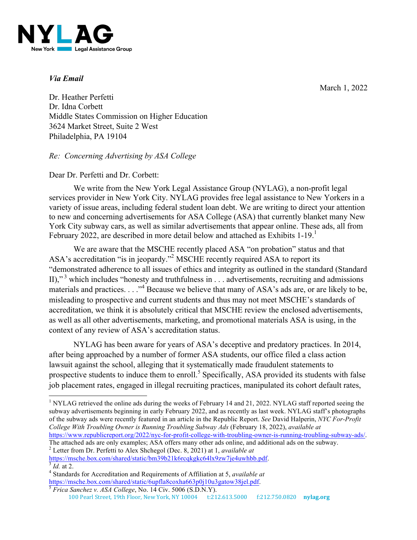YI Z **Jew York** Legal Assistance Group

# *Via Email*

March 1, 2022

Dr. Heather Perfetti Dr. Idna Corbett Middle States Commission on Higher Education 3624 Market Street, Suite 2 West Philadelphia, PA 19104

# *Re: Concerning Advertising by ASA College*

# Dear Dr. Perfetti and Dr. Corbett:

We write from the New York Legal Assistance Group (NYLAG), a non-profit legal services provider in New York City. NYLAG provides free legal assistance to New Yorkers in a variety of issue areas, including federal student loan debt. We are writing to direct your attention to new and concerning advertisements for ASA College (ASA) that currently blanket many New York City subway cars, as well as similar advertisements that appear online. These ads, all from February 2022, are described in more detail below and attached as Exhibits 1-19.<sup>1</sup>

We are aware that the MSCHE recently placed ASA "on probation" status and that ASA's accreditation "is in jeopardy."<sup>2</sup> MSCHE recently required ASA to report its "demonstrated adherence to all issues of ethics and integrity as outlined in the standard (Standard II),"<sup>3</sup> which includes "honesty and truthfulness in  $\dots$  advertisements, recruiting and admissions materials and practices.  $\ldots$ <sup>4</sup> Because we believe that many of ASA's ads are, or are likely to be, misleading to prospective and current students and thus may not meet MSCHE's standards of accreditation, we think it is absolutely critical that MSCHE review the enclosed advertisements, as well as all other advertisements, marketing, and promotional materials ASA is using, in the context of any review of ASA's accreditation status.

NYLAG has been aware for years of ASA's deceptive and predatory practices. In 2014, after being approached by a number of former ASA students, our office filed a class action lawsuit against the school, alleging that it systematically made fraudulent statements to prospective students to induce them to enroll.<sup>5</sup> Specifically, ASA provided its students with false job placement rates, engaged in illegal recruiting practices, manipulated its cohort default rates,

The attached ads are only examples; ASA offers many other ads online, and additional ads on the subway.

<sup>2</sup> Letter from Dr. Perfetti to Alex Shchegol (Dec. 8, 2021) at 1, *available at* https://msche.box.com/shared/static/bm39b21k6rcqkgkc64lx9zw7ie4uwhbb.pdf.

<sup>&</sup>lt;sup>1</sup> NYLAG retrieved the online ads during the weeks of February 14 and 21, 2022. NYLAG staff reported seeing the subway advertisements beginning in early February 2022, and as recently as last week. NYLAG staff's photographs of the subway ads were recently featured in an article in the Republic Report. *See* David Halperin, *NYC For-Profit College With Troubling Owner is Running Troubling Subway Ads* (February 18, 2022), *available at* https://www.republicreport.org/2022/nyc-for-profit-college-with-troubling-owner-is-running-troubling-subway-ads/.

 $\frac{3}{8}$ *Id.* at 2.  $\frac{4}{8}$  Standards for Accreditation and Requirements of Affiliation at 5, *available at* https://msche.box.com/shared/static/6upfla8coxha663p0j10u3gatow38jel.pdf. <sup>5</sup> *Frica Sanchez v. ASA College*, No. 14 Civ. 5006 (S.D.N.Y).

<sup>100</sup> Pearl Street, 19th Floor, New York, NY 10004 t:212.613.5000 f:212.750.0820 **nylag.org**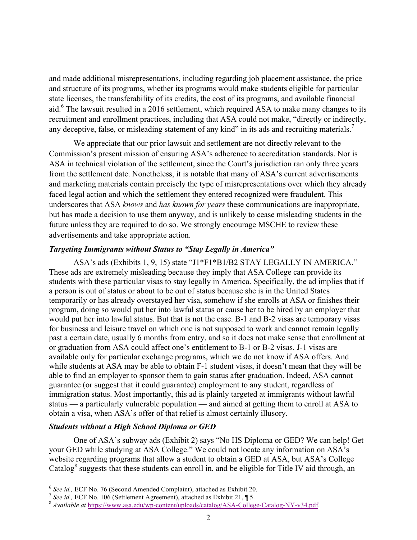and made additional misrepresentations, including regarding job placement assistance, the price and structure of its programs, whether its programs would make students eligible for particular state licenses, the transferability of its credits, the cost of its programs, and available financial aid.<sup>6</sup> The lawsuit resulted in a 2016 settlement, which required ASA to make many changes to its recruitment and enrollment practices, including that ASA could not make, "directly or indirectly, any deceptive, false, or misleading statement of any kind" in its ads and recruiting materials.<sup>7</sup>

We appreciate that our prior lawsuit and settlement are not directly relevant to the Commission's present mission of ensuring ASA's adherence to accreditation standards. Nor is ASA in technical violation of the settlement, since the Court's jurisdiction ran only three years from the settlement date. Nonetheless, it is notable that many of ASA's current advertisements and marketing materials contain precisely the type of misrepresentations over which they already faced legal action and which the settlement they entered recognized were fraudulent. This underscores that ASA *knows* and *has known for years* these communications are inappropriate, but has made a decision to use them anyway, and is unlikely to cease misleading students in the future unless they are required to do so. We strongly encourage MSCHE to review these advertisements and take appropriate action.

#### *Targeting Immigrants without Status to "Stay Legally in America"*

ASA's ads (Exhibits 1, 9, 15) state "J1\*F1\*B1/B2 STAY LEGALLY IN AMERICA." These ads are extremely misleading because they imply that ASA College can provide its students with these particular visas to stay legally in America. Specifically, the ad implies that if a person is out of status or about to be out of status because she is in the United States temporarily or has already overstayed her visa, somehow if she enrolls at ASA or finishes their program, doing so would put her into lawful status or cause her to be hired by an employer that would put her into lawful status. But that is not the case. B-1 and B-2 visas are temporary visas for business and leisure travel on which one is not supposed to work and cannot remain legally past a certain date, usually 6 months from entry, and so it does not make sense that enrollment at or graduation from ASA could affect one's entitlement to B-1 or B-2 visas. J-1 visas are available only for particular exchange programs, which we do not know if ASA offers. And while students at ASA may be able to obtain F-1 student visas, it doesn't mean that they will be able to find an employer to sponsor them to gain status after graduation. Indeed, ASA cannot guarantee (or suggest that it could guarantee) employment to any student, regardless of immigration status. Most importantly, this ad is plainly targeted at immigrants without lawful status — a particularly vulnerable population — and aimed at getting them to enroll at ASA to obtain a visa, when ASA's offer of that relief is almost certainly illusory.

#### *Students without a High School Diploma or GED*

One of ASA's subway ads (Exhibit 2) says "No HS Diploma or GED? We can help! Get your GED while studying at ASA College." We could not locate any information on ASA's website regarding programs that allow a student to obtain a GED at ASA, but ASA's College Catalog<sup>8</sup> suggests that these students can enroll in, and be eligible for Title IV aid through, an

<sup>&</sup>lt;sup>6</sup> See id., ECF No. 76 (Second Amended Complaint), attached as Exhibit 20.<br><sup>7</sup> See id., ECF No. 106 (Settlement Agreement), attached as Exhibit 21,  $\P$  5.<br><sup>8</sup> Available at https://ww<u>w.asa.edu/wp-content/uploads/catalog/</u>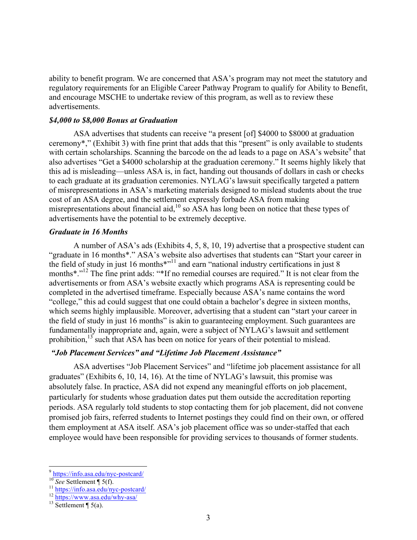ability to benefit program. We are concerned that ASA's program may not meet the statutory and regulatory requirements for an Eligible Career Pathway Program to qualify for Ability to Benefit, and encourage MSCHE to undertake review of this program, as well as to review these advertisements.

# *\$4,000 to \$8,000 Bonus at Graduation*

ASA advertises that students can receive "a present [of] \$4000 to \$8000 at graduation ceremony\*," (Exhibit 3) with fine print that adds that this "present" is only available to students with certain scholarships. Scanning the barcode on the ad leads to a page on  $ASA$ 's website<sup>9</sup> that also advertises "Get a \$4000 scholarship at the graduation ceremony." It seems highly likely that this ad is misleading—unless ASA is, in fact, handing out thousands of dollars in cash or checks to each graduate at its graduation ceremonies. NYLAG's lawsuit specifically targeted a pattern of misrepresentations in ASA's marketing materials designed to mislead students about the true cost of an ASA degree, and the settlement expressly forbade ASA from making misrepresentations about financial aid, <sup>10</sup> so ASA has long been on notice that these types of advertisements have the potential to be extremely deceptive.

## *Graduate in 16 Months*

A number of ASA's ads (Exhibits 4, 5, 8, 10, 19) advertise that a prospective student can "graduate in 16 months\*." ASA's website also advertises that students can "Start your career in the field of study in just 16 months<sup>\*"<sup>11</sup> and earn "national industry certifications in just 8</sup> months<sup>\*</sup>."<sup>12</sup> The fine print adds: "\*If no remedial courses are required." It is not clear from the advertisements or from ASA's website exactly which programs ASA is representing could be completed in the advertised timeframe. Especially because ASA's name contains the word "college," this ad could suggest that one could obtain a bachelor's degree in sixteen months, which seems highly implausible. Moreover, advertising that a student can "start your career in the field of study in just 16 months" is akin to guaranteeing employment. Such guarantees are fundamentally inappropriate and, again, were a subject of NYLAG's lawsuit and settlement prohibition,<sup>13</sup> such that ASA has been on notice for years of their potential to mislead.

# *"Job Placement Services" and "Lifetime Job Placement Assistance"*

ASA advertises "Job Placement Services" and "lifetime job placement assistance for all graduates" (Exhibits 6, 10, 14, 16). At the time of NYLAG's lawsuit, this promise was absolutely false. In practice, ASA did not expend any meaningful efforts on job placement, particularly for students whose graduation dates put them outside the accreditation reporting periods. ASA regularly told students to stop contacting them for job placement, did not convene promised job fairs, referred students to Internet postings they could find on their own, or offered them employment at ASA itself. ASA's job placement office was so under-staffed that each employee would have been responsible for providing services to thousands of former students.

<sup>9</sup> https://info.asa.edu/nyc-postcard/<br><sup>10</sup> *See* Settlement ¶ 5(f).<br><sup>11</sup> https://info.asa.edu/nyc-postcard/<br><sup>12</sup> https://www.asa.edu/why-asa/<br><sup>13</sup> Settlement ¶ 5(a).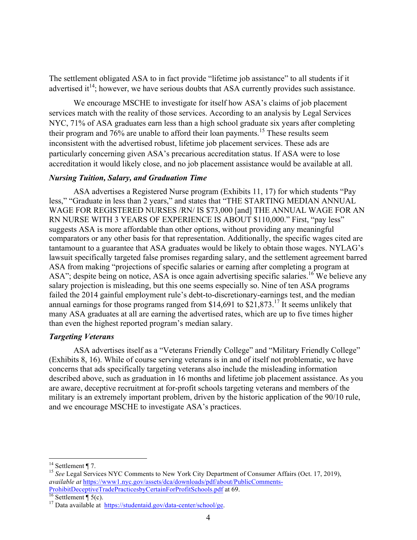The settlement obligated ASA to in fact provide "lifetime job assistance" to all students if it advertised it<sup>14</sup>; however, we have serious doubts that ASA currently provides such assistance.

We encourage MSCHE to investigate for itself how ASA's claims of job placement services match with the reality of those services. According to an analysis by Legal Services NYC, 71% of ASA graduates earn less than a high school graduate six years after completing their program and 76% are unable to afford their loan payments.15 These results seem inconsistent with the advertised robust, lifetime job placement services. These ads are particularly concerning given ASA's precarious accreditation status. If ASA were to lose accreditation it would likely close, and no job placement assistance would be available at all.

# *Nursing Tuition, Salary, and Graduation Time*

ASA advertises a Registered Nurse program (Exhibits 11, 17) for which students "Pay less," "Graduate in less than 2 years," and states that "THE STARTING MEDIAN ANNUAL WAGE FOR REGISTERED NURSES /RN/ IS \$73,000 [and] THE ANNUAL WAGE FOR AN RN NURSE WITH 3 YEARS OF EXPERIENCE IS ABOUT \$110,000." First, "pay less" suggests ASA is more affordable than other options, without providing any meaningful comparators or any other basis for that representation. Additionally, the specific wages cited are tantamount to a guarantee that ASA graduates would be likely to obtain those wages. NYLAG's lawsuit specifically targeted false promises regarding salary, and the settlement agreement barred ASA from making "projections of specific salaries or earning after completing a program at ASA"; despite being on notice, ASA is once again advertising specific salaries.<sup>16</sup> We believe any salary projection is misleading, but this one seems especially so. Nine of ten ASA programs failed the 2014 gainful employment rule's debt-to-discretionary-earnings test, and the median annual earnings for those programs ranged from \$14,691 to \$21,873.<sup>17</sup> It seems unlikely that many ASA graduates at all are earning the advertised rates, which are up to five times higher than even the highest reported program's median salary.

#### *Targeting Veterans*

ASA advertises itself as a "Veterans Friendly College" and "Military Friendly College" (Exhibits 8, 16). While of course serving veterans is in and of itself not problematic, we have concerns that ads specifically targeting veterans also include the misleading information described above, such as graduation in 16 months and lifetime job placement assistance. As you are aware, deceptive recruitment at for-profit schools targeting veterans and members of the military is an extremely important problem, driven by the historic application of the 90/10 rule, and we encourage MSCHE to investigate ASA's practices.

<sup>&</sup>lt;sup>14</sup> Settlement ¶ 7.<br><sup>15</sup> *See* Legal Services NYC Comments to New York City Department of Consumer Affairs (Oct. 17, 2019), *available at* https://www1.nyc.gov/assets/dca/downloads/pdf/about/PublicComments-ProhibitDeceptiveTradePracticesbyCertainForProfitSchools.pdf at 69.<br>
<sup>17</sup> Data available at https://studentaid.gov/data-center/school/ge.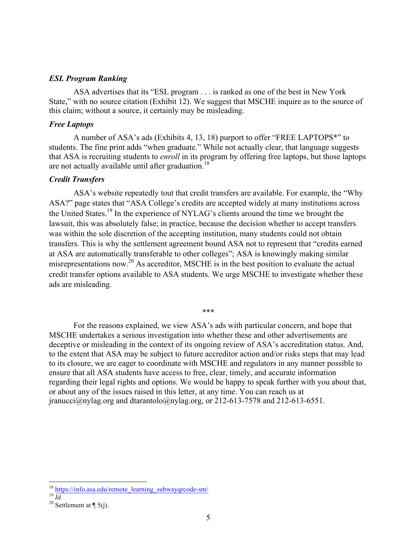#### *ESL Program Ranking*

ASA advertises that its "ESL program . . . is ranked as one of the best in New York State," with no source citation (Exhibit 12). We suggest that MSCHE inquire as to the source of this claim; without a source, it certainly may be misleading.

# *Free Laptops*

A number of ASA's ads (Exhibits 4, 13, 18) purport to offer "FREE LAPTOPS\*" to students. The fine print adds "when graduate." While not actually clear, that language suggests that ASA is recruiting students to *enroll* in its program by offering free laptops, but those laptops are not actually available until after graduation.<sup>18</sup>

#### *Credit Transfers*

ASA's website repeatedly tout that credit transfers are available. For example, the "Why ASA?" page states that "ASA College's credits are accepted widely at many institutions across the United States.19 In the experience of NYLAG's clients around the time we brought the lawsuit, this was absolutely false; in practice, because the decision whether to accept transfers was within the sole discretion of the accepting institution, many students could not obtain transfers. This is why the settlement agreement bound ASA not to represent that "credits earned at ASA are automatically transferable to other colleges"; ASA is knowingly making similar misrepresentations now.<sup>20</sup> As accreditor, MSCHE is in the best position to evaluate the actual credit transfer options available to ASA students. We urge MSCHE to investigate whether these ads are misleading.

#### **\*\*\***

For the reasons explained, we view ASA's ads with particular concern, and hope that MSCHE undertakes a serious investigation into whether these and other advertisements are deceptive or misleading in the context of its ongoing review of ASA's accreditation status. And, to the extent that ASA may be subject to future accreditor action and/or risks steps that may lead to its closure, we are eager to coordinate with MSCHE and regulators in any manner possible to ensure that all ASA students have access to free, clear, timely, and accurate information regarding their legal rights and options. We would be happy to speak further with you about that, or about any of the issues raised in this letter, at any time. You can reach us at jranucci@nylag.org and dtarantolo@nylag.org, or 212-613-7578 and 212-613-6551.

<sup>&</sup>lt;sup>18</sup> https://info.asa.edu/remote\_learning\_subwayqrcode-sm/<br><sup>19</sup> *Id.* <sup>20</sup> Settlement at ¶ 5(j).